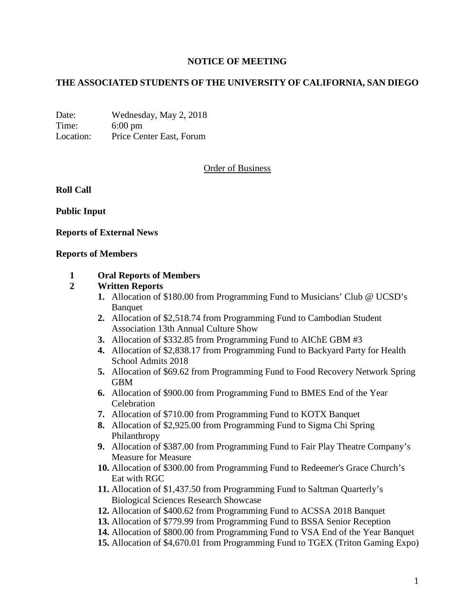# **NOTICE OF MEETING**

# **THE ASSOCIATED STUDENTS OF THE UNIVERSITY OF CALIFORNIA, SAN DIEGO**

Date: Wednesday, May 2, 2018 Time: 6:00 pm Location: Price Center East, Forum

### Order of Business

**Roll Call**

**Public Input**

#### **Reports of External News**

#### **Reports of Members**

#### **1 Oral Reports of Members**

### **2 Written Reports**

- **1.** Allocation of \$180.00 from Programming Fund to Musicians' Club @ UCSD's Banquet
- **2.** Allocation of \$2,518.74 from Programming Fund to Cambodian Student Association 13th Annual Culture Show
- **3.** Allocation of \$332.85 from Programming Fund to AIChE GBM #3
- **4.** Allocation of \$2,838.17 from Programming Fund to Backyard Party for Health School Admits 2018
- **5.** Allocation of \$69.62 from Programming Fund to Food Recovery Network Spring GBM
- **6.** Allocation of \$900.00 from Programming Fund to BMES End of the Year Celebration
- **7.** Allocation of \$710.00 from Programming Fund to KOTX Banquet
- **8.** Allocation of \$2,925.00 from Programming Fund to Sigma Chi Spring Philanthropy
- **9.** Allocation of \$387.00 from Programming Fund to Fair Play Theatre Company's Measure for Measure
- **10.** Allocation of \$300.00 from Programming Fund to Redeemer's Grace Church's Eat with RGC
- **11.** Allocation of \$1,437.50 from Programming Fund to Saltman Quarterly's Biological Sciences Research Showcase
- **12.** Allocation of \$400.62 from Programming Fund to ACSSA 2018 Banquet
- **13.** Allocation of \$779.99 from Programming Fund to BSSA Senior Reception
- **14.** Allocation of \$800.00 from Programming Fund to VSA End of the Year Banquet
- **15.** Allocation of \$4,670.01 from Programming Fund to TGEX (Triton Gaming Expo)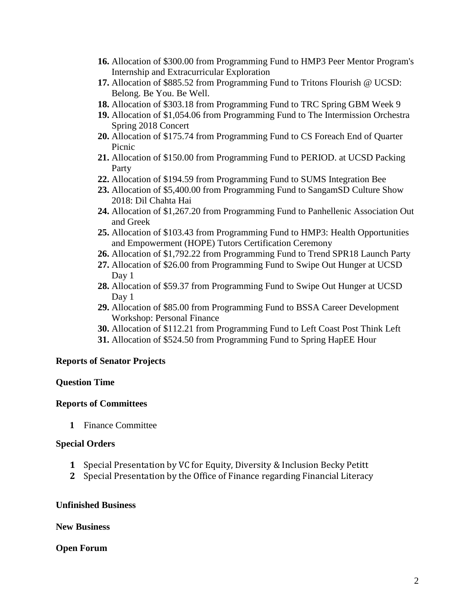- **16.** Allocation of \$300.00 from Programming Fund to HMP3 Peer Mentor Program's Internship and Extracurricular Exploration
- **17.** Allocation of \$885.52 from Programming Fund to Tritons Flourish @ UCSD: Belong. Be You. Be Well.
- **18.** Allocation of \$303.18 from Programming Fund to TRC Spring GBM Week 9
- **19.** Allocation of \$1,054.06 from Programming Fund to The Intermission Orchestra Spring 2018 Concert
- **20.** Allocation of \$175.74 from Programming Fund to CS Foreach End of Quarter Picnic
- **21.** Allocation of \$150.00 from Programming Fund to PERIOD. at UCSD Packing Party
- **22.** Allocation of \$194.59 from Programming Fund to SUMS Integration Bee
- **23.** Allocation of \$5,400.00 from Programming Fund to SangamSD Culture Show 2018: Dil Chahta Hai
- **24.** Allocation of \$1,267.20 from Programming Fund to Panhellenic Association Out and Greek
- **25.** Allocation of \$103.43 from Programming Fund to HMP3: Health Opportunities and Empowerment (HOPE) Tutors Certification Ceremony
- **26.** Allocation of \$1,792.22 from Programming Fund to Trend SPR18 Launch Party
- **27.** Allocation of \$26.00 from Programming Fund to Swipe Out Hunger at UCSD Day 1
- **28.** Allocation of \$59.37 from Programming Fund to Swipe Out Hunger at UCSD Day 1
- **29.** Allocation of \$85.00 from Programming Fund to BSSA Career Development Workshop: Personal Finance
- **30.** Allocation of \$112.21 from Programming Fund to Left Coast Post Think Left
- **31.** Allocation of \$524.50 from Programming Fund to Spring HapEE Hour

### **Reports of Senator Projects**

### **Question Time**

### **Reports of Committees**

**1** Finance Committee

### **Special Orders**

- **1** Special Presentation by VC for Equity, Diversity & Inclusion Becky Petitt
- **2** Special Presentation by the Office of Finance regarding Financial Literacy

### **Unfinished Business**

**New Business**

### **Open Forum**